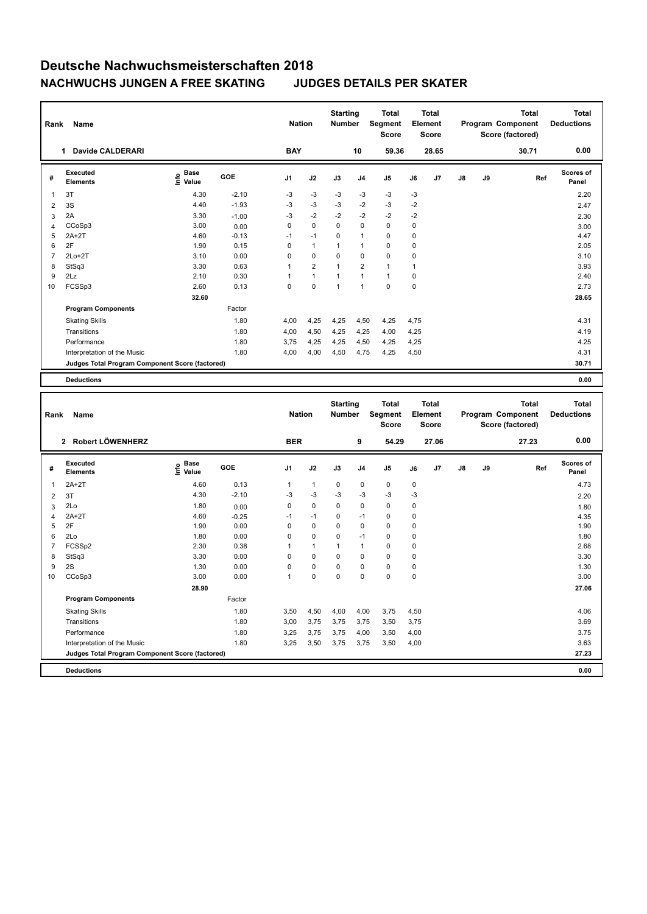| Rank           | Name                                            |                                  |            |                | <b>Nation</b>  |                 | <b>Starting</b><br><b>Number</b> | <b>Total</b><br>Segment<br><b>Score</b> |             | <b>Total</b><br>Element<br><b>Score</b> |    |    | <b>Total</b><br>Program Component<br>Score (factored) | <b>Total</b><br><b>Deductions</b> |
|----------------|-------------------------------------------------|----------------------------------|------------|----------------|----------------|-----------------|----------------------------------|-----------------------------------------|-------------|-----------------------------------------|----|----|-------------------------------------------------------|-----------------------------------|
|                | <b>Davide CALDERARI</b><br>1                    |                                  |            | <b>BAY</b>     |                |                 | 10                               | 59.36                                   |             | 28.65                                   |    |    | 30.71                                                 | 0.00                              |
| #              | <b>Executed</b><br><b>Elements</b>              | <b>Base</b><br>e Base<br>⊆ Value | <b>GOE</b> | J <sub>1</sub> | J2             | J3              | J <sub>4</sub>                   | J5                                      | J6          | J7                                      | J8 | J9 | Ref                                                   | Scores of<br>Panel                |
| 1              | 3T                                              | 4.30                             | $-2.10$    | $-3$           | $-3$           | $-3$            | $-3$                             | $-3$                                    | $-3$        |                                         |    |    |                                                       | 2.20                              |
| $\overline{2}$ | 3S                                              | 4.40                             | $-1.93$    | $-3$           | $-3$           | $-3$            | $-2$                             | $-3$                                    | $-2$        |                                         |    |    |                                                       | 2.47                              |
| 3              | 2A                                              | 3.30                             | $-1.00$    | -3             | $-2$           | $-2$            | -2                               | $-2$                                    | -2          |                                         |    |    |                                                       | 2.30                              |
| 4              | CCoSp3                                          | 3.00                             | 0.00       | 0              | $\mathbf 0$    | $\mathbf 0$     | $\mathbf 0$                      | $\mathbf 0$                             | 0           |                                         |    |    |                                                       | 3.00                              |
| 5              | $2A+2T$                                         | 4.60                             | $-0.13$    | $-1$           | $-1$           | $\mathbf 0$     | $\overline{1}$                   | $\mathbf 0$                             | $\mathbf 0$ |                                         |    |    |                                                       | 4.47                              |
| 6              | 2F                                              | 1.90                             | 0.15       | 0              | $\mathbf{1}$   | 1               | $\overline{1}$                   | $\mathbf 0$                             | 0           |                                         |    |    |                                                       | 2.05                              |
| 7              | $2Lo+2T$                                        | 3.10                             | 0.00       | 0              | $\Omega$       | 0               | $\mathbf 0$                      | $\Omega$                                | 0           |                                         |    |    |                                                       | 3.10                              |
| 8              | StSq3                                           | 3.30                             | 0.63       | 1              | $\overline{2}$ | 1               | $\overline{2}$                   | $\mathbf{1}$                            | 1           |                                         |    |    |                                                       | 3.93                              |
| 9              | 2Lz                                             | 2.10                             | 0.30       | 1              | $\mathbf{1}$   | 1               | $\overline{1}$                   | $\mathbf{1}$                            | 0           |                                         |    |    |                                                       | 2.40                              |
| 10             | FCSSp3                                          | 2.60                             | 0.13       | 0              | $\Omega$       | $\overline{1}$  | $\overline{1}$                   | $\mathbf 0$                             | $\mathbf 0$ |                                         |    |    |                                                       | 2.73                              |
|                |                                                 | 32.60                            |            |                |                |                 |                                  |                                         |             |                                         |    |    |                                                       | 28.65                             |
|                | <b>Program Components</b>                       |                                  | Factor     |                |                |                 |                                  |                                         |             |                                         |    |    |                                                       |                                   |
|                | <b>Skating Skills</b>                           |                                  | 1.80       | 4,00           | 4,25           | 4,25            | 4,50                             | 4,25                                    | 4,75        |                                         |    |    |                                                       | 4.31                              |
|                | Transitions                                     |                                  | 1.80       | 4,00           | 4,50           | 4,25            | 4,25                             | 4,00                                    | 4,25        |                                         |    |    |                                                       | 4.19                              |
|                | Performance                                     |                                  | 1.80       | 3,75           | 4,25           | 4,25            | 4,50                             | 4,25                                    | 4,25        |                                         |    |    |                                                       | 4.25                              |
|                | Interpretation of the Music                     |                                  | 1.80       | 4,00           | 4,00           | 4,50            | 4,75                             | 4,25                                    | 4,50        |                                         |    |    |                                                       | 4.31                              |
|                | Judges Total Program Component Score (factored) |                                  |            |                |                |                 |                                  |                                         |             |                                         |    |    |                                                       | 30.71                             |
|                | <b>Deductions</b>                               |                                  |            |                |                |                 |                                  |                                         |             |                                         |    |    |                                                       | 0.00                              |
|                |                                                 |                                  |            |                |                | <b>Starting</b> |                                  | <b>Total</b>                            |             | <b>Total</b>                            |    |    | <b>Total</b>                                          | <b>Total</b>                      |

| Rank           | Name                                            |                                  |            | <b>Nation</b>  |                | <b>Starting</b><br><b>Number</b> |                | Total<br>Segment<br><b>Score</b> |             | Total<br>Element<br><b>Score</b> |               |    | Total<br>Program Component<br>Score (factored) | Total<br><b>Deductions</b> |
|----------------|-------------------------------------------------|----------------------------------|------------|----------------|----------------|----------------------------------|----------------|----------------------------------|-------------|----------------------------------|---------------|----|------------------------------------------------|----------------------------|
|                | Robert LÖWENHERZ<br>$\mathbf{2}$                |                                  |            | <b>BER</b>     |                |                                  | 9              | 54.29                            |             | 27.06                            |               |    | 27.23                                          | 0.00                       |
| #              | Executed<br><b>Elements</b>                     | <b>Base</b><br>e Base<br>⊆ Value | <b>GOE</b> | J <sub>1</sub> | J2             | J3                               | J <sub>4</sub> | J <sub>5</sub>                   | J6          | J7                               | $\mathsf{J}8$ | J9 | Ref                                            | <b>Scores of</b><br>Panel  |
| 1              | $2A+2T$                                         | 4.60                             | 0.13       | 1              | $\mathbf{1}$   | 0                                | $\pmb{0}$      | $\mathbf 0$                      | 0           |                                  |               |    |                                                | 4.73                       |
| $\overline{2}$ | 3T                                              | 4.30                             | $-2.10$    | -3             | $-3$           | -3                               | -3             | $-3$                             | $-3$        |                                  |               |    |                                                | 2.20                       |
| 3              | 2Lo                                             | 1.80                             | 0.00       | 0              | $\mathbf 0$    | $\Omega$                         | $\mathbf 0$    | $\mathbf 0$                      | $\mathbf 0$ |                                  |               |    |                                                | 1.80                       |
| 4              | $2A+2T$                                         | 4.60                             | $-0.25$    | $-1$           | $-1$           | 0                                | $-1$           | $\mathbf 0$                      | 0           |                                  |               |    |                                                | 4.35                       |
| 5              | 2F                                              | 1.90                             | 0.00       | 0              | 0              | 0                                | 0              | 0                                | 0           |                                  |               |    |                                                | 1.90                       |
| 6              | 2Lo                                             | 1.80                             | 0.00       | 0              | $\mathbf 0$    | 0                                | $-1$           | $\mathbf 0$                      | $\mathbf 0$ |                                  |               |    |                                                | 1.80                       |
| 7              | FCSSp2                                          | 2.30                             | 0.38       |                | $\overline{1}$ | $\mathbf 1$                      | $\overline{1}$ | $\mathbf 0$                      | $\mathbf 0$ |                                  |               |    |                                                | 2.68                       |
| 8              | StSq3                                           | 3.30                             | 0.00       | 0              | $\pmb{0}$      | $\mathbf 0$                      | $\pmb{0}$      | $\pmb{0}$                        | 0           |                                  |               |    |                                                | 3.30                       |
| 9              | 2S                                              | 1.30                             | 0.00       | 0              | $\mathbf 0$    | 0                                | 0              | $\mathbf 0$                      | 0           |                                  |               |    |                                                | 1.30                       |
| 10             | CCoSp3                                          | 3.00                             | 0.00       | 1              | $\mathbf 0$    | 0                                | 0              | $\pmb{0}$                        | 0           |                                  |               |    |                                                | 3.00                       |
|                |                                                 | 28.90                            |            |                |                |                                  |                |                                  |             |                                  |               |    |                                                | 27.06                      |
|                | <b>Program Components</b>                       |                                  | Factor     |                |                |                                  |                |                                  |             |                                  |               |    |                                                |                            |
|                | <b>Skating Skills</b>                           |                                  | 1.80       | 3,50           | 4,50           | 4,00                             | 4,00           | 3,75                             | 4,50        |                                  |               |    |                                                | 4.06                       |
|                | Transitions                                     |                                  | 1.80       | 3,00           | 3,75           | 3,75                             | 3,75           | 3,50                             | 3,75        |                                  |               |    |                                                | 3.69                       |
|                | Performance                                     |                                  | 1.80       | 3,25           | 3,75           | 3,75                             | 4,00           | 3,50                             | 4,00        |                                  |               |    |                                                | 3.75                       |
|                | Interpretation of the Music                     |                                  | 1.80       | 3,25           | 3,50           | 3,75                             | 3,75           | 3,50                             | 4,00        |                                  |               |    |                                                | 3.63                       |
|                | Judges Total Program Component Score (factored) |                                  |            |                |                |                                  |                |                                  |             |                                  |               |    |                                                | 27.23                      |
|                | <b>Deductions</b>                               |                                  |            |                |                |                                  |                |                                  |             |                                  |               |    |                                                | 0.00                       |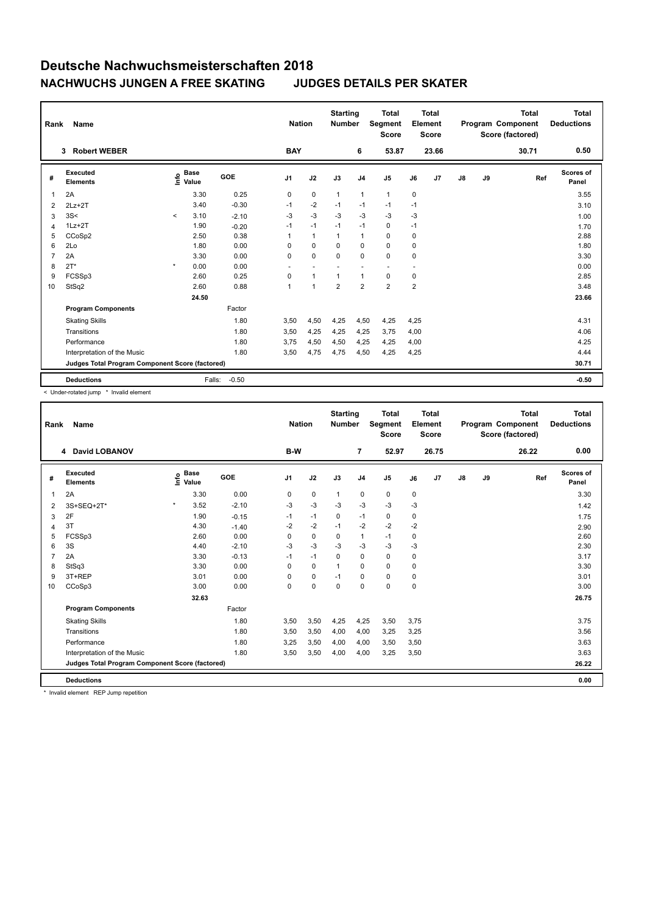| Rank           | Name                                            |         |                                  |         | <b>Nation</b>  |                          | <b>Starting</b><br><b>Total</b><br><b>Number</b><br>Segment<br><b>Score</b> |                          | <b>Total</b><br>Element<br><b>Score</b> |                          |       |               | <b>Total</b><br>Program Component<br>Score (factored) | <b>Total</b><br><b>Deductions</b> |                           |
|----------------|-------------------------------------------------|---------|----------------------------------|---------|----------------|--------------------------|-----------------------------------------------------------------------------|--------------------------|-----------------------------------------|--------------------------|-------|---------------|-------------------------------------------------------|-----------------------------------|---------------------------|
|                | <b>Robert WEBER</b><br>3                        |         |                                  |         | <b>BAY</b>     |                          |                                                                             | 6                        | 53.87                                   |                          | 23.66 |               |                                                       | 30.71                             | 0.50                      |
| #              | Executed<br><b>Elements</b>                     |         | <b>Base</b><br>o Base<br>⊆ Value | GOE     | J <sub>1</sub> | J2                       | J3                                                                          | J <sub>4</sub>           | J <sub>5</sub>                          | J6                       | J7    | $\mathsf{J}8$ | J9                                                    | Ref                               | <b>Scores of</b><br>Panel |
| 1              | 2A                                              |         | 3.30                             | 0.25    | 0              | $\pmb{0}$                | $\mathbf{1}$                                                                | $\mathbf{1}$             | $\mathbf{1}$                            | 0                        |       |               |                                                       |                                   | 3.55                      |
| 2              | $2Lz+2T$                                        |         | 3.40                             | $-0.30$ | $-1$           | $-2$                     | $-1$                                                                        | $-1$                     | $-1$                                    | $-1$                     |       |               |                                                       |                                   | 3.10                      |
| 3              | 3S<                                             | $\prec$ | 3.10                             | $-2.10$ | $-3$           | $-3$                     | $-3$                                                                        | $-3$                     | $-3$                                    | $-3$                     |       |               |                                                       |                                   | 1.00                      |
| 4              | $1Lz + 2T$                                      |         | 1.90                             | $-0.20$ | $-1$           | $-1$                     | $-1$                                                                        | $-1$                     | $\mathbf 0$                             | $-1$                     |       |               |                                                       |                                   | 1.70                      |
| 5              | CCoSp2                                          |         | 2.50                             | 0.38    | 1              | $\mathbf{1}$             | 1                                                                           | $\mathbf{1}$             | $\mathbf 0$                             | 0                        |       |               |                                                       |                                   | 2.88                      |
| 6              | 2Lo                                             |         | 1.80                             | 0.00    | 0              | $\pmb{0}$                | $\mathbf 0$                                                                 | 0                        | $\pmb{0}$                               | 0                        |       |               |                                                       |                                   | 1.80                      |
| $\overline{7}$ | 2A                                              |         | 3.30                             | 0.00    | 0              | $\mathbf 0$              | $\mathbf 0$                                                                 | $\mathbf 0$              | $\mathbf 0$                             | 0                        |       |               |                                                       |                                   | 3.30                      |
| 8              | $2T^*$                                          | $\star$ | 0.00                             | 0.00    | ٠              | $\overline{\phantom{a}}$ | $\overline{\phantom{a}}$                                                    | $\overline{\phantom{a}}$ | $\overline{\phantom{a}}$                | $\overline{\phantom{a}}$ |       |               |                                                       |                                   | 0.00                      |
| 9              | FCSSp3                                          |         | 2.60                             | 0.25    | $\mathbf 0$    | $\mathbf{1}$             | 1                                                                           | $\mathbf{1}$             | $\mathbf 0$                             | 0                        |       |               |                                                       |                                   | 2.85                      |
| 10             | StSq2                                           |         | 2.60                             | 0.88    | 1              | $\overline{1}$           | $\overline{2}$                                                              | $\overline{2}$           | $\overline{2}$                          | $\overline{2}$           |       |               |                                                       |                                   | 3.48                      |
|                |                                                 |         | 24.50                            |         |                |                          |                                                                             |                          |                                         |                          |       |               |                                                       |                                   | 23.66                     |
|                | <b>Program Components</b>                       |         |                                  | Factor  |                |                          |                                                                             |                          |                                         |                          |       |               |                                                       |                                   |                           |
|                | <b>Skating Skills</b>                           |         |                                  | 1.80    | 3,50           | 4,50                     | 4,25                                                                        | 4,50                     | 4,25                                    | 4,25                     |       |               |                                                       |                                   | 4.31                      |
|                | Transitions                                     |         |                                  | 1.80    | 3,50           | 4,25                     | 4,25                                                                        | 4,25                     | 3,75                                    | 4,00                     |       |               |                                                       |                                   | 4.06                      |
|                | Performance                                     |         |                                  | 1.80    | 3,75           | 4,50                     | 4,50                                                                        | 4,25                     | 4,25                                    | 4,00                     |       |               |                                                       |                                   | 4.25                      |
|                | Interpretation of the Music                     |         |                                  | 1.80    | 3,50           | 4,75                     | 4,75                                                                        | 4,50                     | 4,25                                    | 4,25                     |       |               |                                                       |                                   | 4.44                      |
|                | Judges Total Program Component Score (factored) |         |                                  |         |                |                          |                                                                             |                          |                                         |                          |       |               |                                                       |                                   | 30.71                     |
|                | <b>Deductions</b>                               |         | Falls:                           | $-0.50$ |                |                          |                                                                             |                          |                                         |                          |       |               |                                                       |                                   | $-0.50$                   |

< Under-rotated jump \* Invalid element

| Rank           | Name                                            |                                  |         |                | <b>Starting</b><br><b>Nation</b><br><b>Number</b> |              | <b>Total</b><br>Segment<br><b>Score</b> |                | <b>Total</b><br>Element<br><b>Score</b> |       |               | <b>Total</b><br>Program Component<br>Score (factored) | <b>Total</b><br><b>Deductions</b> |                           |
|----------------|-------------------------------------------------|----------------------------------|---------|----------------|---------------------------------------------------|--------------|-----------------------------------------|----------------|-----------------------------------------|-------|---------------|-------------------------------------------------------|-----------------------------------|---------------------------|
|                | 4 David LOBANOV                                 |                                  |         | B-W            |                                                   |              | $\overline{7}$                          | 52.97          |                                         | 26.75 |               |                                                       | 26.22                             | 0.00                      |
| #              | Executed<br><b>Elements</b>                     | <b>Base</b><br>e Base<br>E Value | GOE     | J <sub>1</sub> | J2                                                | J3           | J <sub>4</sub>                          | J <sub>5</sub> | J6                                      | J7    | $\mathsf{J}8$ | J9                                                    | Ref                               | <b>Scores of</b><br>Panel |
| 1              | 2A                                              | 3.30                             | 0.00    | 0              | $\mathbf 0$                                       | $\mathbf{1}$ | $\mathbf 0$                             | 0              | 0                                       |       |               |                                                       |                                   | 3.30                      |
| 2              | 3S+SEQ+2T*                                      | $\star$<br>3.52                  | $-2.10$ | $-3$           | $-3$                                              | $-3$         | $-3$                                    | $-3$           | $-3$                                    |       |               |                                                       |                                   | 1.42                      |
| 3              | 2F                                              | 1.90                             | $-0.15$ | $-1$           | $-1$                                              | 0            | $-1$                                    | 0              | 0                                       |       |               |                                                       |                                   | 1.75                      |
| $\overline{4}$ | 3T                                              | 4.30                             | $-1.40$ | $-2$           | $-2$                                              | $-1$         | $-2$                                    | $-2$           | $-2$                                    |       |               |                                                       |                                   | 2.90                      |
| 5              | FCSSp3                                          | 2.60                             | 0.00    | 0              | $\mathbf 0$                                       | $\mathbf 0$  | $\mathbf{1}$                            | $-1$           | 0                                       |       |               |                                                       |                                   | 2.60                      |
| 6              | 3S                                              | 4.40                             | $-2.10$ | -3             | $-3$                                              | $-3$         | $-3$                                    | $-3$           | -3                                      |       |               |                                                       |                                   | 2.30                      |
| $\overline{7}$ | 2A                                              | 3.30                             | $-0.13$ | $-1$           | $-1$                                              | $\mathbf 0$  | $\mathbf 0$                             | $\mathbf 0$    | 0                                       |       |               |                                                       |                                   | 3.17                      |
| 8              | StSq3                                           | 3.30                             | 0.00    | $\Omega$       | $\mathbf 0$                                       | $\mathbf{1}$ | $\mathbf 0$                             | $\Omega$       | 0                                       |       |               |                                                       |                                   | 3.30                      |
| 9              | 3T+REP                                          | 3.01                             | 0.00    | 0              | $\mathbf 0$                                       | $-1$         | $\mathbf 0$                             | $\mathbf 0$    | 0                                       |       |               |                                                       |                                   | 3.01                      |
| 10             | CCoSp3                                          | 3.00                             | 0.00    | 0              | 0                                                 | $\mathbf 0$  | $\mathbf 0$                             | $\mathbf 0$    | 0                                       |       |               |                                                       |                                   | 3.00                      |
|                |                                                 | 32.63                            |         |                |                                                   |              |                                         |                |                                         |       |               |                                                       |                                   | 26.75                     |
|                | <b>Program Components</b>                       |                                  | Factor  |                |                                                   |              |                                         |                |                                         |       |               |                                                       |                                   |                           |
|                | <b>Skating Skills</b>                           |                                  | 1.80    | 3,50           | 3,50                                              | 4,25         | 4,25                                    | 3,50           | 3.75                                    |       |               |                                                       |                                   | 3.75                      |
|                | Transitions                                     |                                  | 1.80    | 3,50           | 3,50                                              | 4,00         | 4,00                                    | 3,25           | 3,25                                    |       |               |                                                       |                                   | 3.56                      |
|                | Performance                                     |                                  | 1.80    | 3,25           | 3,50                                              | 4,00         | 4,00                                    | 3,50           | 3,50                                    |       |               |                                                       |                                   | 3.63                      |
|                | Interpretation of the Music                     |                                  | 1.80    | 3,50           | 3,50                                              | 4,00         | 4,00                                    | 3,25           | 3,50                                    |       |               |                                                       |                                   | 3.63                      |
|                | Judges Total Program Component Score (factored) |                                  |         |                |                                                   |              |                                         |                |                                         |       |               |                                                       |                                   | 26.22                     |
|                | <b>Deductions</b>                               |                                  |         |                |                                                   |              |                                         |                |                                         |       |               |                                                       |                                   | 0.00                      |

\* Invalid element REP Jump repetition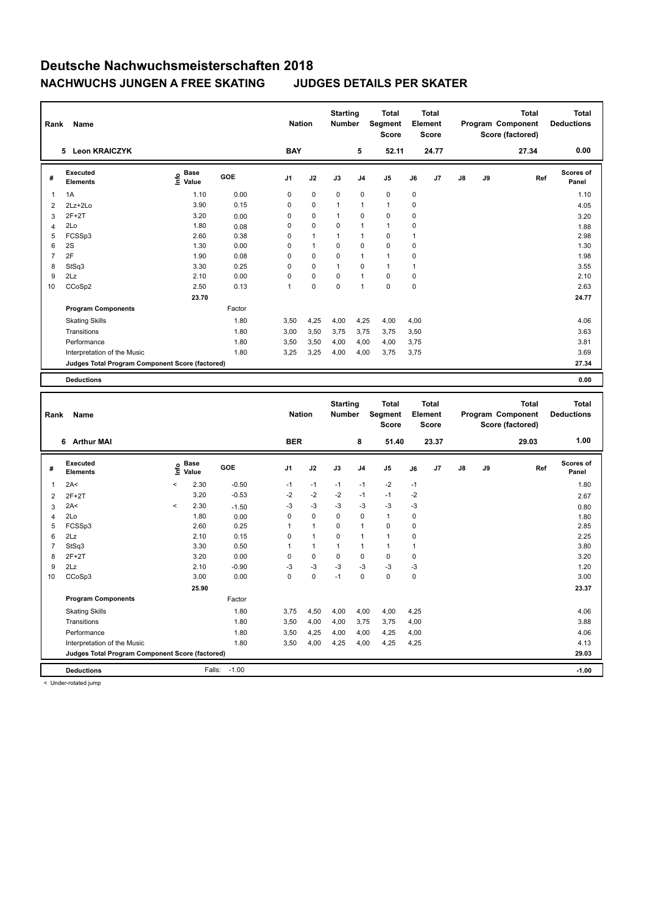### **Total Program Component Deductions Total Score (factored) Total Element Segment Score Total Score Starting Rank Name Nation Number # Executed Elements Base Value GOE J1 J2 J3 J4 J5 J6 J7 J8 J9 Scores of Panel** 1 1.10 0.00 0 0 0 0 0 0 **Ref**  سماء بال بن المسابق المسابق المسابق المسابق المسابق المسابق المسابق المسابق المسابق المسابق المسابق المسابق ال<br>1A 1.10 0.00 0 0 0 0 0 0 0 1.10<br>1A 1.10 0.00 0 0 0 0 0 0 0 1.10  **5 Leon KRAICZYK BAY 5 52.11 24.77 27.34 0.00** 2 2Lz+2Lo 3.90 0.15 0 0 1 1 1 0 4.05  $3 \quad 2F+2T$  3.20 0.00 0 0 1 0 0 0 3.20 3.20 4 2Lo 1.80 0.08 0 0 0 1 1 0 1.88 5 FCSSp3 2.60 0.38 0 1 1 1 0 1 2.98 6 2S 1.30 0.00 0 1 0 0 0 0 1.30 7 2F 1.90 0.08 0 0 0 1 1 0 1.98 8 StSq3 3.30 0.25 0 0 1 0 1 1 3.55 9 2Lz 2.10 0.00 0 0 0 1 0 0 2.10 10 CCoSp2 2.50 0.13 1 0 0 1 0 0 2.63  **23.70 24.77 Program Components**  Skating Skills 3,50 4,25 4,00 4,25 4,00 4,00 1.80 4.06 Factor Transitions 1.80 3,00 3,50 3,75 3,75 3,75 3,50 3.63 Performance 1.80 3,50 3,50 4,00 4,00 4,00 3,75 3.81 Interpretation of the Music 1.80 3,25 3,25 4,00 4,00 3,75 3,75 3,75 3,69 3.69 **Deductions 0.00 Judges Total Program Component Score (factored) 27.34**

|                | Rank<br>Name                                    |                          |                      |            | <b>Nation</b>  |              | <b>Starting</b><br><b>Number</b> |                | <b>Total</b><br>Segment<br><b>Score</b> | <b>Total</b><br>Element<br><b>Score</b> |                |               |    | <b>Total</b><br>Program Component<br>Score (factored) | <b>Total</b><br><b>Deductions</b> |
|----------------|-------------------------------------------------|--------------------------|----------------------|------------|----------------|--------------|----------------------------------|----------------|-----------------------------------------|-----------------------------------------|----------------|---------------|----|-------------------------------------------------------|-----------------------------------|
|                | 6 Arthur MAI                                    |                          |                      |            | <b>BER</b>     |              |                                  | 8              | 51.40                                   |                                         | 23.37          |               |    | 29.03                                                 | 1.00                              |
| #              | <b>Executed</b><br><b>Elements</b>              | ١nf٥                     | <b>Base</b><br>Value | <b>GOE</b> | J <sub>1</sub> | J2           | J3                               | J <sub>4</sub> | J <sub>5</sub>                          | J6                                      | J <sub>7</sub> | $\mathsf{J}8$ | J9 | Ref                                                   | <b>Scores of</b><br>Panel         |
| 1              | 2A<                                             | $\overline{\phantom{a}}$ | 2.30                 | $-0.50$    | $-1$           | $-1$         | $-1$                             | $-1$           | $-2$                                    | $-1$                                    |                |               |    |                                                       | 1.80                              |
| $\overline{2}$ | $2F+2T$                                         |                          | 3.20                 | $-0.53$    | $-2$           | $-2$         | $-2$                             | $-1$           | $-1$                                    | $-2$                                    |                |               |    |                                                       | 2.67                              |
| 3              | 2A<                                             | $\prec$                  | 2.30                 | $-1.50$    | $-3$           | $-3$         | $-3$                             | $-3$           | $-3$                                    | $-3$                                    |                |               |    |                                                       | 0.80                              |
| 4              | 2Lo                                             |                          | 1.80                 | 0.00       | $\Omega$       | 0            | 0                                | $\Omega$       | $\mathbf{1}$                            | $\mathbf 0$                             |                |               |    |                                                       | 1.80                              |
| 5              | FCSSp3                                          |                          | 2.60                 | 0.25       |                | 1            | 0                                | 1              | $\mathbf 0$                             | 0                                       |                |               |    |                                                       | 2.85                              |
| 6              | 2Lz                                             |                          | 2.10                 | 0.15       | $\Omega$       | 1            | 0                                | 1              | $\overline{1}$                          | $\mathbf 0$                             |                |               |    |                                                       | 2.25                              |
| 7              | StSq3                                           |                          | 3.30                 | 0.50       | 1              | $\mathbf{1}$ | $\mathbf{1}$                     | 1              | $\blacktriangleleft$                    | 1                                       |                |               |    |                                                       | 3.80                              |
| 8              | $2F+2T$                                         |                          | 3.20                 | 0.00       | 0              | $\mathbf 0$  | 0                                | 0              | $\mathbf 0$                             | 0                                       |                |               |    |                                                       | 3.20                              |
| 9              | 2Lz                                             |                          | 2.10                 | $-0.90$    | $-3$           | $-3$         | $-3$                             | $-3$           | $-3$                                    | -3                                      |                |               |    |                                                       | 1.20                              |
| 10             | CCoSp3                                          |                          | 3.00                 | 0.00       | 0              | 0            | $-1$                             | 0              | $\mathbf 0$                             | $\mathbf 0$                             |                |               |    |                                                       | 3.00                              |
|                |                                                 |                          | 25.90                |            |                |              |                                  |                |                                         |                                         |                |               |    |                                                       | 23.37                             |
|                | <b>Program Components</b>                       |                          |                      | Factor     |                |              |                                  |                |                                         |                                         |                |               |    |                                                       |                                   |
|                | <b>Skating Skills</b>                           |                          |                      | 1.80       | 3,75           | 4,50         | 4,00                             | 4,00           | 4,00                                    | 4,25                                    |                |               |    |                                                       | 4.06                              |
|                | Transitions                                     |                          |                      | 1.80       | 3,50           | 4,00         | 4,00                             | 3,75           | 3,75                                    | 4,00                                    |                |               |    |                                                       | 3.88                              |
|                | Performance                                     |                          |                      | 1.80       | 3,50           | 4,25         | 4,00                             | 4,00           | 4,25                                    | 4,00                                    |                |               |    |                                                       | 4.06                              |
|                | Interpretation of the Music                     |                          |                      | 1.80       | 3,50           | 4,00         | 4,25                             | 4,00           | 4,25                                    | 4,25                                    |                |               |    |                                                       | 4.13                              |
|                | Judges Total Program Component Score (factored) |                          |                      |            |                |              |                                  |                |                                         |                                         |                |               |    |                                                       | 29.03                             |
|                | <b>Deductions</b>                               |                          | Falls:               | $-1.00$    |                |              |                                  |                |                                         |                                         |                |               |    |                                                       | $-1.00$                           |

< Under-rotated jump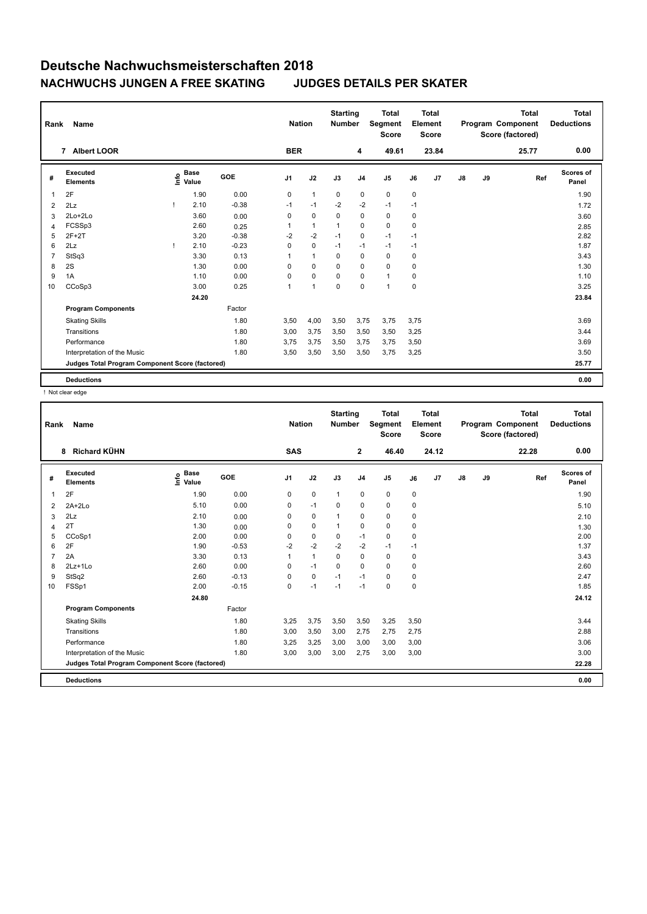| Name<br>Rank   |                                                 |    |                      |            | <b>Nation</b>  |              | <b>Starting</b><br><b>Number</b> |                | <b>Total</b><br>Segment<br><b>Score</b> | <b>Total</b><br>Element<br>Score |                |               |    | <b>Total</b><br>Program Component<br>Score (factored) | <b>Total</b><br><b>Deductions</b> |
|----------------|-------------------------------------------------|----|----------------------|------------|----------------|--------------|----------------------------------|----------------|-----------------------------------------|----------------------------------|----------------|---------------|----|-------------------------------------------------------|-----------------------------------|
|                | 7 Albert LOOR                                   |    |                      |            | <b>BER</b>     |              |                                  | 4              | 49.61                                   |                                  | 23.84          |               |    | 25.77                                                 | 0.00                              |
| #              | <b>Executed</b><br><b>Elements</b>              | ۴ů | <b>Base</b><br>Value | <b>GOE</b> | J <sub>1</sub> | J2           | J3                               | J <sub>4</sub> | J <sub>5</sub>                          | J6                               | J <sub>7</sub> | $\mathsf{J}8$ | J9 | Ref                                                   | Scores of<br>Panel                |
| 1              | 2F                                              |    | 1.90                 | 0.00       | 0              | $\mathbf{1}$ | $\mathbf 0$                      | 0              | $\mathbf 0$                             | 0                                |                |               |    |                                                       | 1.90                              |
| $\overline{2}$ | 2Lz                                             |    | 2.10                 | $-0.38$    | $-1$           | $-1$         | $-2$                             | $-2$           | $-1$                                    | $-1$                             |                |               |    |                                                       | 1.72                              |
| 3              | $2Lo+2Lo$                                       |    | 3.60                 | 0.00       | 0              | $\mathbf 0$  | 0                                | 0              | 0                                       | 0                                |                |               |    |                                                       | 3.60                              |
| 4              | FCSSp3                                          |    | 2.60                 | 0.25       |                | $\mathbf{1}$ | $\mathbf{1}$                     | 0              | $\mathbf 0$                             | 0                                |                |               |    |                                                       | 2.85                              |
| 5              | $2F+2T$                                         |    | 3.20                 | $-0.38$    | $-2$           | $-2$         | $-1$                             | 0              | $-1$                                    | $-1$                             |                |               |    |                                                       | 2.82                              |
| 6              | 2Lz                                             |    | 2.10                 | $-0.23$    | 0              | $\mathbf 0$  | $-1$                             | $-1$           | $-1$                                    | $-1$                             |                |               |    |                                                       | 1.87                              |
| 7              | StSq3                                           |    | 3.30                 | 0.13       | 1              | $\mathbf{1}$ | $\Omega$                         | 0              | $\mathbf 0$                             | 0                                |                |               |    |                                                       | 3.43                              |
| 8              | 2S                                              |    | 1.30                 | 0.00       | $\Omega$       | $\mathbf 0$  | 0                                | 0              | $\mathbf 0$                             | 0                                |                |               |    |                                                       | 1.30                              |
| 9              | 1A                                              |    | 1.10                 | 0.00       | 0              | $\mathbf 0$  | $\Omega$                         | 0              | $\mathbf{1}$                            | 0                                |                |               |    |                                                       | 1.10                              |
| 10             | CCoSp3                                          |    | 3.00                 | 0.25       | 1              | $\mathbf{1}$ | $\mathbf 0$                      | $\mathbf 0$    | $\mathbf{1}$                            | $\mathbf 0$                      |                |               |    |                                                       | 3.25                              |
|                |                                                 |    | 24.20                |            |                |              |                                  |                |                                         |                                  |                |               |    |                                                       | 23.84                             |
|                | <b>Program Components</b>                       |    |                      | Factor     |                |              |                                  |                |                                         |                                  |                |               |    |                                                       |                                   |
|                | <b>Skating Skills</b>                           |    |                      | 1.80       | 3,50           | 4,00         | 3,50                             | 3,75           | 3,75                                    | 3,75                             |                |               |    |                                                       | 3.69                              |
|                | Transitions                                     |    |                      | 1.80       | 3,00           | 3,75         | 3,50                             | 3,50           | 3,50                                    | 3,25                             |                |               |    |                                                       | 3.44                              |
|                | Performance                                     |    |                      | 1.80       | 3,75           | 3,75         | 3,50                             | 3,75           | 3,75                                    | 3,50                             |                |               |    |                                                       | 3.69                              |
|                | Interpretation of the Music                     |    |                      | 1.80       | 3.50           | 3,50         | 3,50                             | 3,50           | 3.75                                    | 3,25                             |                |               |    |                                                       | 3.50                              |
|                | Judges Total Program Component Score (factored) |    |                      |            |                |              |                                  |                |                                         |                                  |                |               |    |                                                       | 25.77                             |
|                | <b>Deductions</b>                               |    |                      |            |                |              |                                  |                |                                         |                                  |                |               |    |                                                       | 0.00                              |

! Not clear edge

| Rank           | Name                                            |                              |         | <b>Nation</b>  |              | <b>Starting</b><br><b>Number</b> |                | <b>Total</b><br>Segment<br><b>Score</b> |      | <b>Total</b><br>Element<br><b>Score</b> |               |    | <b>Total</b><br>Program Component<br>Score (factored) | <b>Total</b><br><b>Deductions</b> |
|----------------|-------------------------------------------------|------------------------------|---------|----------------|--------------|----------------------------------|----------------|-----------------------------------------|------|-----------------------------------------|---------------|----|-------------------------------------------------------|-----------------------------------|
|                | Richard KÜHN<br>8                               |                              |         | <b>SAS</b>     |              |                                  | $\overline{2}$ | 46.40                                   |      | 24.12                                   |               |    | 22.28                                                 | 0.00                              |
| #              | Executed<br><b>Elements</b>                     | <b>Base</b><br>١mfo<br>Value | GOE     | J <sub>1</sub> | J2           | J3                               | J <sub>4</sub> | J5                                      | J6   | J <sub>7</sub>                          | $\mathsf{J}8$ | J9 | Ref                                                   | Scores of<br>Panel                |
| 1              | 2F                                              | 1.90                         | 0.00    | 0              | 0            | $\mathbf{1}$                     | $\mathbf 0$    | 0                                       | 0    |                                         |               |    |                                                       | 1.90                              |
| 2              | $2A+2Lo$                                        | 5.10                         | 0.00    | 0              | $-1$         | $\mathbf 0$                      | $\mathbf 0$    | 0                                       | 0    |                                         |               |    |                                                       | 5.10                              |
| 3              | 2Lz                                             | 2.10                         | 0.00    | $\Omega$       | 0            | 1                                | 0              | 0                                       | 0    |                                         |               |    |                                                       | 2.10                              |
| $\overline{4}$ | 2T                                              | 1.30                         | 0.00    | $\Omega$       | $\mathbf 0$  | $\mathbf{1}$                     | $\Omega$       | $\Omega$                                | 0    |                                         |               |    |                                                       | 1.30                              |
| 5              | CCoSp1                                          | 2.00                         | 0.00    | 0              | $\pmb{0}$    | $\mathbf 0$                      | $-1$           | 0                                       | 0    |                                         |               |    |                                                       | 2.00                              |
| 6              | 2F                                              | 1.90                         | $-0.53$ | $-2$           | $-2$         | $-2$                             | $-2$           | $-1$                                    | $-1$ |                                         |               |    |                                                       | 1.37                              |
| $\overline{7}$ | 2A                                              | 3.30                         | 0.13    | $\mathbf{1}$   | $\mathbf{1}$ | $\Omega$                         | $\mathbf 0$    | 0                                       | 0    |                                         |               |    |                                                       | 3.43                              |
| 8              | $2Lz+1Lo$                                       | 2.60                         | 0.00    | 0              | $-1$         | $\Omega$                         | 0              | 0                                       | 0    |                                         |               |    |                                                       | 2.60                              |
| 9              | StSq2                                           | 2.60                         | $-0.13$ | $\Omega$       | 0            | $-1$                             | $-1$           | 0                                       | 0    |                                         |               |    |                                                       | 2.47                              |
| 10             | FSSp1                                           | 2.00                         | $-0.15$ | 0              | $-1$         | $-1$                             | $-1$           | 0                                       | 0    |                                         |               |    |                                                       | 1.85                              |
|                |                                                 | 24.80                        |         |                |              |                                  |                |                                         |      |                                         |               |    |                                                       | 24.12                             |
|                | <b>Program Components</b>                       |                              | Factor  |                |              |                                  |                |                                         |      |                                         |               |    |                                                       |                                   |
|                | <b>Skating Skills</b>                           |                              | 1.80    | 3,25           | 3,75         | 3,50                             | 3,50           | 3,25                                    | 3,50 |                                         |               |    |                                                       | 3.44                              |
|                | Transitions                                     |                              | 1.80    | 3,00           | 3,50         | 3,00                             | 2.75           | 2,75                                    | 2,75 |                                         |               |    |                                                       | 2.88                              |
|                | Performance                                     |                              | 1.80    | 3,25           | 3,25         | 3,00                             | 3,00           | 3,00                                    | 3,00 |                                         |               |    |                                                       | 3.06                              |
|                | Interpretation of the Music                     |                              | 1.80    | 3,00           | 3,00         | 3,00                             | 2,75           | 3,00                                    | 3,00 |                                         |               |    |                                                       | 3.00                              |
|                | Judges Total Program Component Score (factored) |                              |         |                |              |                                  |                |                                         |      |                                         |               |    |                                                       | 22.28                             |
|                | <b>Deductions</b>                               |                              |         |                |              |                                  |                |                                         |      |                                         |               |    |                                                       | 0.00                              |